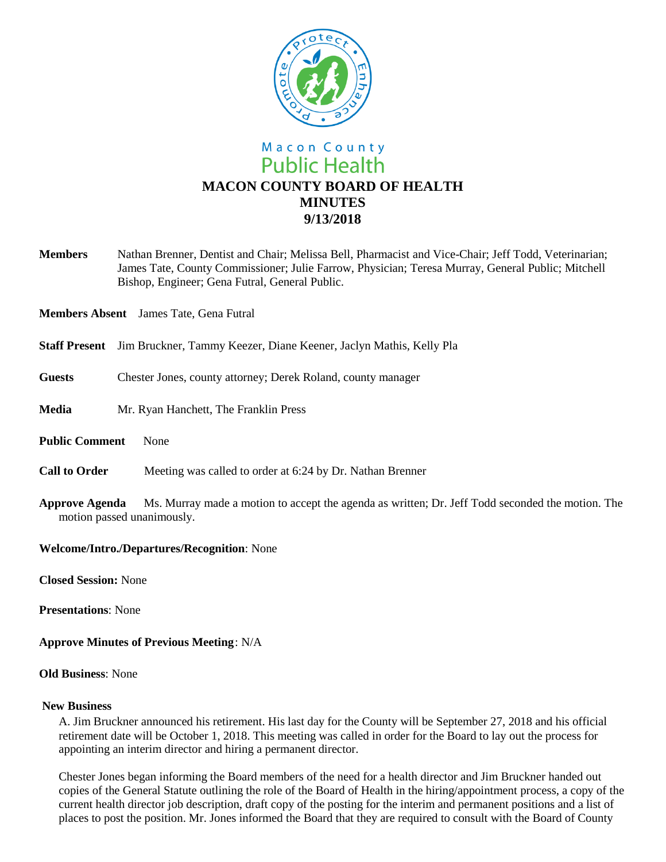

# Macon County **Public Health MACON COUNTY BOARD OF HEALTH MINUTES 9/13/2018**

**Members** Nathan Brenner, Dentist and Chair; Melissa Bell, Pharmacist and Vice-Chair; Jeff Todd, Veterinarian; James Tate, County Commissioner; Julie Farrow, Physician; Teresa Murray, General Public; Mitchell Bishop, Engineer; Gena Futral, General Public.

**Members Absent** James Tate, Gena Futral

- **Staff Present** Jim Bruckner, Tammy Keezer, Diane Keener, Jaclyn Mathis, Kelly Pla
- **Guests** Chester Jones, county attorney; Derek Roland, county manager
- **Media** Mr. Ryan Hanchett, The Franklin Press
- **Public Comment** None
- **Call to Order** Meeting was called to order at 6:24 by Dr. Nathan Brenner
- **Approve Agenda** Ms. Murray made a motion to accept the agenda as written; Dr. Jeff Todd seconded the motion. The motion passed unanimously.

### **Welcome/Intro./Departures/Recognition**: None

**Closed Session:** None

**Presentations**: None

### **Approve Minutes of Previous Meeting**: N/A

### **Old Business**: None

### **New Business**

A. Jim Bruckner announced his retirement. His last day for the County will be September 27, 2018 and his official retirement date will be October 1, 2018. This meeting was called in order for the Board to lay out the process for appointing an interim director and hiring a permanent director.

Chester Jones began informing the Board members of the need for a health director and Jim Bruckner handed out copies of the General Statute outlining the role of the Board of Health in the hiring/appointment process, a copy of the current health director job description, draft copy of the posting for the interim and permanent positions and a list of places to post the position. Mr. Jones informed the Board that they are required to consult with the Board of County